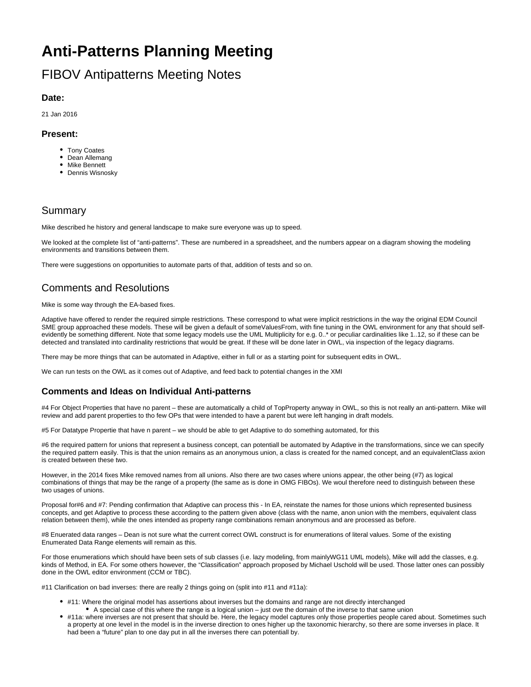# **Anti-Patterns Planning Meeting**

# FIBOV Antipatterns Meeting Notes

#### **Date:**

21 Jan 2016

#### **Present:**

- Tony Coates
- Dean Allemang
- Mike Bennett
- **•** Dennis Wisnosky

### Summary

Mike described he history and general landscape to make sure everyone was up to speed.

We looked at the complete list of "anti-patterns". These are numbered in a spreadsheet, and the numbers appear on a diagram showing the modeling environments and transitions between them.

There were suggestions on opportunities to automate parts of that, addition of tests and so on.

### Comments and Resolutions

Mike is some way through the EA-based fixes.

Adaptive have offered to render the required simple restrictions. These correspond to what were implicit restrictions in the way the original EDM Council SME group approached these models. These will be given a default of someValuesFrom, with fine tuning in the OWL environment for any that should selfevidently be something different. Note that some legacy models use the UML Multiplicity for e.g. 0..\* or peculiar cardinalities like 1..12, so if these can be detected and translated into cardinality restrictions that would be great. If these will be done later in OWL, via inspection of the legacy diagrams.

There may be more things that can be automated in Adaptive, either in full or as a starting point for subsequent edits in OWL.

We can run tests on the OWL as it comes out of Adaptive, and feed back to potential changes in the XMI

#### **Comments and Ideas on Individual Anti-patterns**

#4 For Object Properties that have no parent – these are automatically a child of TopProperty anyway in OWL, so this is not really an anti-pattern. Mike will review and add parent properties to tho few OPs that were intended to have a parent but were left hanging in draft models.

#5 For Datatype Propertie that have n parent – we should be able to get Adaptive to do something automated, for this

#6 the required pattern for unions that represent a business concept, can potentiall be automated by Adaptive in the transformations, since we can specify the required pattern easily. This is that the union remains as an anonymous union, a class is created for the named concept, and an equivalentClass axion is created between these two.

However, in the 2014 fixes Mike removed names from all unions. Also there are two cases where unions appear, the other being (#7) as logical combinations of things that may be the range of a property (the same as is done in OMG FIBOs). We woul therefore need to distinguish between these two usages of unions.

Proposal for#6 and #7: Pending confirmation that Adaptive can process this - In EA, reinstate the names for those unions which represented business concepts, and get Adaptive to process these according to the pattern given above (class with the name, anon union with the members, equivalent class relation between them), while the ones intended as property range combinations remain anonymous and are processed as before.

#8 Enuerated data ranges – Dean is not sure what the current correct OWL construct is for enumerations of literal values. Some of the existing Enumerated Data Range elements will remain as this.

For those enumerations which should have been sets of sub classes (i.e. lazy modeling, from mainlyWG11 UML models), Mike will add the classes, e.g. kinds of Method, in EA. For some others however, the "Classification" approach proposed by Michael Uschold will be used. Those latter ones can possibly done in the OWL editor environment (CCM or TBC).

#11 Clarification on bad inverses: there are really 2 things going on (split into #11 and #11a):

- #11: Where the original model has assertions about inverses but the domains and range are not directly interchanged
- A special case of this where the range is a logical union just ove the domain of the inverse to that same union #11a: where inverses are not present that should be. Here, the legacy model captures only those properties people cared about. Sometimes such a property at one level in the model is in the inverse direction to ones higher up the taxonomic hierarchy, so there are some inverses in place. It had been a "future" plan to one day put in all the inverses there can potentiall by.